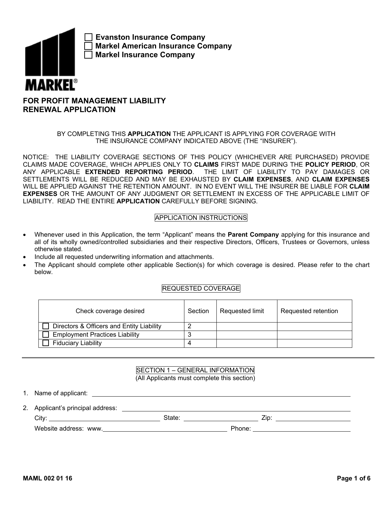

**Evanston Insurance Company Markel American Insurance Company Markel Insurance Company**

# **FOR PROFIT MANAGEMENT LIABILITY RENEWAL APPLICATION**

## BY COMPLETING THIS **APPLICATION** THE APPLICANT IS APPLYING FOR COVERAGE WITH THE INSURANCE COMPANY INDICATED ABOVE (THE "INSURER").

NOTICE: THE LIABILITY COVERAGE SECTIONS OF THIS POLICY (WHICHEVER ARE PURCHASED) PROVIDE CLAIMS MADE COVERAGE, WHICH APPLIES ONLY TO **CLAIMS** FIRST MADE DURING THE **POLICY PERIOD**, OR ANY APPLICABLE **EXTENDED REPORTING PERIOD**. THE LIMIT OF LIABILITY TO PAY DAMAGES OR SETTLEMENTS WILL BE REDUCED AND MAY BE EXHAUSTED BY **CLAIM EXPENSES**, AND **CLAIM EXPENSES** WILL BE APPLIED AGAINST THE RETENTION AMOUNT. IN NO EVENT WILL THE INSURER BE LIABLE FOR **CLAIM EXPENSES** OR THE AMOUNT OF ANY JUDGMENT OR SETTLEMENT IN EXCESS OF THE APPLICABLE LIMIT OF LIABILITY. READ THE ENTIRE **APPLICATION** CAREFULLY BEFORE SIGNING.

## APPLICATION INSTRUCTIONS

- Whenever used in this Application, the term "Applicant" means the **Parent Company** applying for this insurance and all of its wholly owned/controlled subsidiaries and their respective Directors, Officers, Trustees or Governors, unless otherwise stated.
- Include all requested underwriting information and attachments.
- The Applicant should complete other applicable Section(s) for which coverage is desired. Please refer to the chart below.

## REQUESTED COVERAGE

| Check coverage desired                    | Section | Requested limit | Requested retention |
|-------------------------------------------|---------|-----------------|---------------------|
| Directors & Officers and Entity Liability |         |                 |                     |
| <b>Employment Practices Liability</b>     |         |                 |                     |
| <b>Fiduciary Liability</b>                |         |                 |                     |

### SECTION 1 – GENERAL INFORMATION (All Applicants must complete this section)

1. Name of applicant:

2. Applicant's principal address:

 State: Zip: City: Website address: www. **Example 2018** Phone: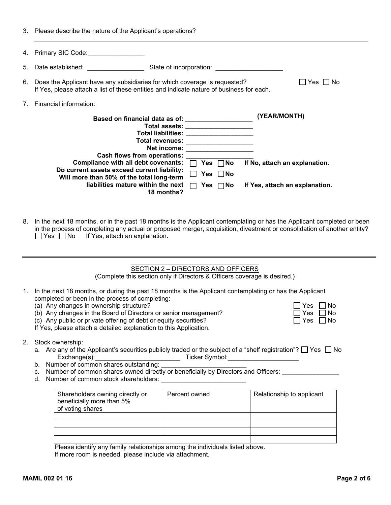3. Please describe the nature of the Applicant's operations?

|    | 4. Primary SIC Code:                                                                                                                                                                                                          |                                                                                                                                                                                                                           |
|----|-------------------------------------------------------------------------------------------------------------------------------------------------------------------------------------------------------------------------------|---------------------------------------------------------------------------------------------------------------------------------------------------------------------------------------------------------------------------|
| 5. | Date established: Notified and the set of the set of the set of the set of the set of the set of the set of the set of the set of the set of the set of the set of the set of the set of the set of the set of the set of the | State of incorporation: State of incorporation:                                                                                                                                                                           |
|    | 6. Does the Applicant have any subsidiaries for which coverage is requested?<br>If Yes, please attach a list of these entities and indicate nature of business for each.                                                      | $\Box$ Yes $\Box$ No                                                                                                                                                                                                      |
|    | Financial information:                                                                                                                                                                                                        |                                                                                                                                                                                                                           |
|    | <b>Total revenues:</b><br>Net income:<br><b>Cash flows from operations:</b><br>Compliance with all debt covenants:                                                                                                            | (YEAR/MONTH)<br>Total assets: ____________________<br>Total liabilities: when the control of the control of the control of the control of the control of the control o<br>Yes ∩No<br>If No, attach an explanation.<br>l 1 |
|    | Do current assets exceed current liability:<br>Will more than 50% of the total long-term                                                                                                                                      | Yes $\Box$ No                                                                                                                                                                                                             |
|    | liabilities mature within the next<br>18 months?                                                                                                                                                                              | If Yes, attach an explanation.<br>Yes<br>$\Box$ No<br>П                                                                                                                                                                   |

8. In the next 18 months, or in the past 18 months is the Applicant contemplating or has the Applicant completed or been in the process of completing any actual or proposed merger, acquisition, divestment or consolidation of another entity?  $\Box$  Yes  $\Box$  No If Yes, attach an explanation.

## SECTION 2 – DIRECTORS AND OFFICERS

(Complete this section only if Directors & Officers coverage is desired.)

- 1. In the next 18 months, or during the past 18 months is the Applicant contemplating or has the Applicant completed or been in the process of completing:
	-
	- (a) Any changes in ownership structure?<br>
	(b) Any changes in the Board of Directors or senior management?<br>
	(c) Any public or private offering of debt or equity securities?<br>  $\Box$  Yes  $\Box$  No (b) Any changes in the Board of Directors or senior management?
	- (c) Any public or private offering of debt or equity securities?

If Yes, please attach a detailed explanation to this Application.

- 2. Stock ownership:
	- a. Are any of the Applicant's securities publicly traded or the subject of a "shelf registration"?  $\Box$  Yes  $\Box$  No Exchange(s):\_\_\_\_\_\_\_\_\_\_\_\_\_\_\_\_\_\_\_\_\_\_\_\_ Ticker Symbol:\_\_\_\_\_\_\_\_\_\_\_\_\_\_\_\_\_\_\_\_
	- b. Number of common shares outstanding:
	- c. Number of common shares owned directly or beneficially by Directors and Officers:
	- d. Number of common stock shareholders:

| Shareholders owning directly or<br>beneficially more than 5%<br>of voting shares | Percent owned | Relationship to applicant |
|----------------------------------------------------------------------------------|---------------|---------------------------|
|                                                                                  |               |                           |
|                                                                                  |               |                           |
|                                                                                  |               |                           |
|                                                                                  |               |                           |

Please identify any family relationships among the individuals listed above. If more room is needed, please include via attachment.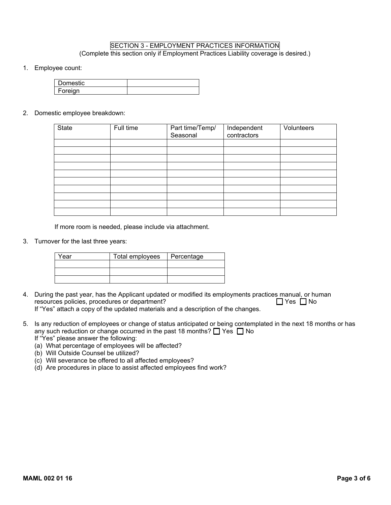## SECTION 3 - EMPLOYMENT PRACTICES INFORMATION (Complete this section only if Employment Practices Liability coverage is desired.)

1. Employee count:

| Domestic                  |  |
|---------------------------|--|
| <b>E</b> oreian<br>שיט יט |  |

2. Domestic employee breakdown:

| <b>State</b> | Full time | Part time/Temp/<br>Seasonal | Independent<br>contractors | Volunteers |
|--------------|-----------|-----------------------------|----------------------------|------------|
|              |           |                             |                            |            |
|              |           |                             |                            |            |
|              |           |                             |                            |            |
|              |           |                             |                            |            |
|              |           |                             |                            |            |
|              |           |                             |                            |            |
|              |           |                             |                            |            |
|              |           |                             |                            |            |
|              |           |                             |                            |            |
|              |           |                             |                            |            |

If more room is needed, please include via attachment.

3. Turnover for the last three years:

| Year | Total employees | Percentage |
|------|-----------------|------------|
|      |                 |            |
|      |                 |            |
|      |                 |            |

- 4. During the past year, has the Applicant updated or modified its employments practices manual, or human resources policies, procedures or department?  $\Box$  Yes  $\Box$  No If "Yes" attach a copy of the updated materials and a description of the changes.
- 5. Is any reduction of employees or change of status anticipated or being contemplated in the next 18 months or has any such reduction or change occurred in the past 18 months?  $\Box$  Yes  $\Box$  No If "Yes" please answer the following:
	- (a) What percentage of employees will be affected?
	- (b) Will Outside Counsel be utilized?
	- (c) Will severance be offered to all affected employees?
	- (d) Are procedures in place to assist affected employees find work?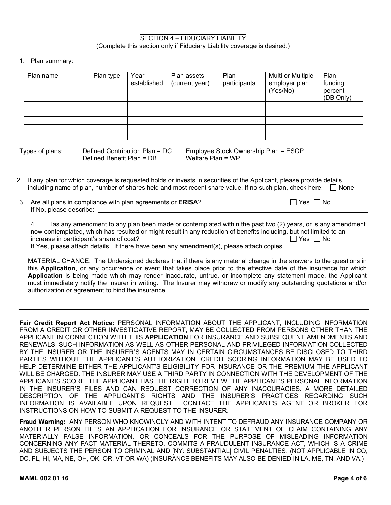### SECTION 4 – FIDUCIARY LIABILITY (Complete this section only if Fiduciary Liability coverage is desired.)

1. Plan summary:

| Plan name | Plan type | Year<br>established | Plan assets<br>(current year) | Plan<br>participants | Multi or Multiple<br>employer plan<br>(Yes/No) | Plan<br>funding<br>percent<br>(DB Only) |
|-----------|-----------|---------------------|-------------------------------|----------------------|------------------------------------------------|-----------------------------------------|
|           |           |                     |                               |                      |                                                |                                         |
|           |           |                     |                               |                      |                                                |                                         |
|           |           |                     |                               |                      |                                                |                                         |
|           |           |                     |                               |                      |                                                |                                         |
|           |           |                     |                               |                      |                                                |                                         |

Defined Benefit Plan =  $DB$ 

Types of plans: Defined Contribution Plan = DC Employee Stock Ownership Plan = ESOP

2. If any plan for which coverage is requested holds or invests in securities of the Applicant, please provide details, including name of plan, number of shares held and most recent share value. If no such plan, check here:  $\Box$  None

| 3. Are all plans in compliance with plan agreements or ERISA? | $\Box$ Yes $\Box$ No |
|---------------------------------------------------------------|----------------------|
| If No, please describe:                                       |                      |

4. Has any amendment to any plan been made or contemplated within the past two (2) years, or is any amendment now contemplated, which has resulted or might result in any reduction of benefits including, but not limited to an increase in participant's share of cost?  $\Box$  Yes  $\Box$  Yes  $\Box$  No

If Yes, please attach details. If there have been any amendment(s), please attach copies.

MATERIAL CHANGE: The Undersigned declares that if there is any material change in the answers to the questions in this **Application**, or any occurrence or event that takes place prior to the effective date of the insurance for which **Application** is being made which may render inaccurate, untrue, or incomplete any statement made, the Applicant must immediately notify the Insurer in writing. The Insurer may withdraw or modify any outstanding quotations and/or authorization or agreement to bind the insurance.

**Fair Credit Report Act Notice:** PERSONAL INFORMATION ABOUT THE APPLICANT, INCLUDING INFORMATION FROM A CREDIT OR OTHER INVESTIGATIVE REPORT, MAY BE COLLECTED FROM PERSONS OTHER THAN THE APPLICANT IN CONNECTION WITH THIS **APPLICATION** FOR INSURANCE AND SUBSEQUENT AMENDMENTS AND RENEWALS. SUCH INFORMATION AS WELL AS OTHER PERSONAL AND PRIVILEGED INFORMATION COLLECTED BY THE INSURER OR THE INSURER'S AGENTS MAY IN CERTAIN CIRCUMSTANCES BE DISCLOSED TO THIRD PARTIES WITHOUT THE APPLICANT'S AUTHORIZATION. CREDIT SCORING INFORMATION MAY BE USED TO HELP DETERMINE EITHER THE APPLICANT'S ELIGIBILITY FOR INSURANCE OR THE PREMIUM THE APPLICANT WILL BE CHARGED. THE INSURER MAY USE A THIRD PARTY IN CONNECTION WITH THE DEVELOPMENT OF THE APPLICANT'S SCORE. THE APPLICANT HAS THE RIGHT TO REVIEW THE APPLICANT'S PERSONAL INFORMATION IN THE INSURER'S FILES AND CAN REQUEST CORRECTION OF ANY INACCURACIES. A MORE DETAILED DESCRIPTION OF THE APPLICANT'S RIGHTS AND THE INSURER'S PRACTICES REGARDING SUCH<br>INFORMATION IS AVAILABLE UPON REQUEST. CONTACT THE APPLICANT'S AGENT OR BROKER FOR CONTACT THE APPLICANT'S AGENT OR BROKER FOR INSTRUCTIONS ON HOW TO SUBMIT A REQUEST TO THE INSURER.

**Fraud Warning:** ANY PERSON WHO KNOWINGLY AND WITH INTENT TO DEFRAUD ANY INSURANCE COMPANY OR ANOTHER PERSON FILES AN APPLICATION FOR INSURANCE OR STATEMENT OF CLAIM CONTAINING ANY MATERIALLY FALSE INFORMATION, OR CONCEALS FOR THE PURPOSE OF MISLEADING INFORMATION CONCERNING ANY FACT MATERIAL THERETO, COMMITS A FRAUDULENT INSURANCE ACT, WHICH IS A CRIME AND SUBJECTS THE PERSON TO CRIMINAL AND [NY: SUBSTANTIAL] CIVIL PENALTIES. (NOT APPLICABLE IN CO, DC, FL, HI, MA, NE, OH, OK, OR, VT OR WA) (INSURANCE BENEFITS MAY ALSO BE DENIED IN LA, ME, TN, AND VA.)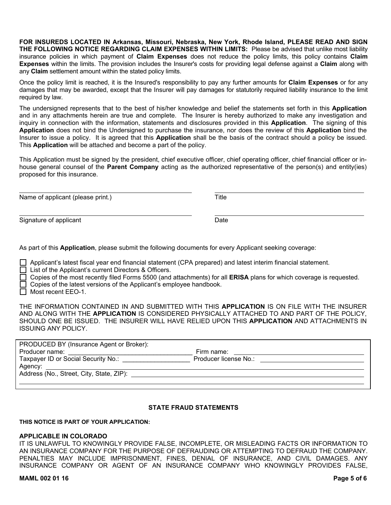**FOR INSUREDS LOCATED IN Arkansas, Missouri, Nebraska, New York, Rhode Island, PLEASE READ AND SIGN THE FOLLOWING NOTICE REGARDING CLAIM EXPENSES WITHIN LIMITS:** Please be advised that unlike most liability insurance policies in which payment of **Claim Expenses** does not reduce the policy limits, this policy contains **Claim Expenses** within the limits. The provision includes the Insurer's costs for providing legal defense against a **Claim** along with any **Claim** settlement amount within the stated policy limits.

Once the policy limit is reached, it is the Insured's responsibility to pay any further amounts for **Claim Expenses** or for any damages that may be awarded, except that the Insurer will pay damages for statutorily required liability insurance to the limit required by law.

The undersigned represents that to the best of his/her knowledge and belief the statements set forth in this **Application** and in any attachments herein are true and complete. The Insurer is hereby authorized to make any investigation and inquiry in connection with the information, statements and disclosures provided in this **Application**. The signing of this **Application** does not bind the Undersigned to purchase the insurance, nor does the review of this **Application** bind the Insurer to issue a policy. It is agreed that this **Application** shall be the basis of the contract should a policy be issued. This **Application** will be attached and become a part of the policy.

This Application must be signed by the president, chief executive officer, chief operating officer, chief financial officer or inhouse general counsel of the **Parent Company** acting as the authorized representative of the person(s) and entity(ies) proposed for this insurance.

Name of applicant (please print.) Title

Signature of applicant Date Date Date Date Date Date

As part of this **Application**, please submit the following documents for every Applicant seeking coverage:

□ Applicant's latest fiscal year end financial statement (CPA prepared) and latest interim financial statement.

□ List of the Applicant's current Directors & Officers.

□ Copies of the most recently filed Forms 5500 (and attachments) for all **ERISA** plans for which coverage is requested.

 $\Box$  Copies of the latest versions of the Applicant's employee handbook.

 $\Box$  Most recent EEO-1.

THE INFORMATION CONTAINED IN AND SUBMITTED WITH THIS **APPLICATION** IS ON FILE WITH THE INSURER AND ALONG WITH THE **APPLICATION** IS CONSIDERED PHYSICALLY ATTACHED TO AND PART OF THE POLICY, SHOULD ONE BE ISSUED. THE INSURER WILL HAVE RELIED UPON THIS **APPLICATION** AND ATTACHMENTS IN ISSUING ANY POLICY.

| PRODUCED BY (Insurance Agent or Broker):<br>Producer name: | Firm name:                                                                                                                                                                                                                     |  |
|------------------------------------------------------------|--------------------------------------------------------------------------------------------------------------------------------------------------------------------------------------------------------------------------------|--|
| Taxpayer ID or Social Security No.:                        | Producer license No.: Note that the set of the set of the set of the set of the set of the set of the set of the set of the set of the set of the set of the set of the set of the set of the set of the set of the set of the |  |
| Address (No., Street, City, State, ZIP):                   |                                                                                                                                                                                                                                |  |

### **STATE FRAUD STATEMENTS**

**THIS NOTICE IS PART OF YOUR APPLICATION:**

#### **APPLICABLE IN COLORADO**

IT IS UNLAWFUL TO KNOWINGLY PROVIDE FALSE, INCOMPLETE, OR MISLEADING FACTS OR INFORMATION TO AN INSURANCE COMPANY FOR THE PURPOSE OF DEFRAUDING OR ATTEMPTING TO DEFRAUD THE COMPANY. PENALTIES MAY INCLUDE IMPRISONMENT, FINES, DENIAL OF INSURANCE, AND CIVIL DAMAGES. ANY INSURANCE COMPANY OR AGENT OF AN INSURANCE COMPANY WHO KNOWINGLY PROVIDES FALSE,